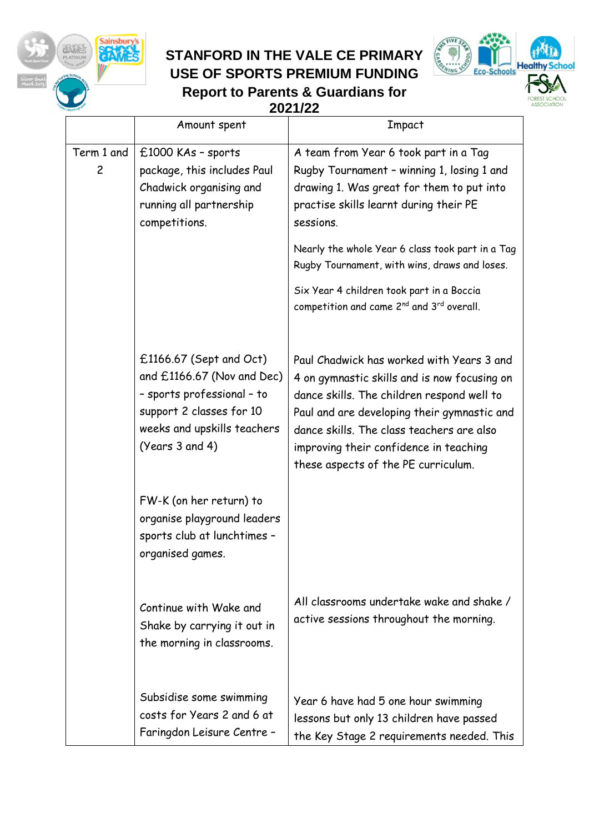

### **STANFORD IN THE VALE CE PRIMARY USE OF SPORTS PREMIUM FUNDING**



**Report to Parents & Guardians for 2021/22**

|                 | Amount spent                                                                                                                                                        | Impact                                                                                                                                                                                                                                                                                                               |
|-----------------|---------------------------------------------------------------------------------------------------------------------------------------------------------------------|----------------------------------------------------------------------------------------------------------------------------------------------------------------------------------------------------------------------------------------------------------------------------------------------------------------------|
| Term 1 and<br>2 | £1000 KAs - sports<br>package, this includes Paul<br>Chadwick organising and<br>running all partnership<br>competitions.                                            | A team from Year 6 took part in a Tag<br>Rugby Tournament - winning 1, losing 1 and<br>drawing 1. Was great for them to put into<br>practise skills learnt during their PE<br>sessions.                                                                                                                              |
|                 |                                                                                                                                                                     | Nearly the whole Year 6 class took part in a Tag<br>Rugby Tournament, with wins, draws and loses.                                                                                                                                                                                                                    |
|                 |                                                                                                                                                                     | Six Year 4 children took part in a Boccia<br>competition and came 2 <sup>nd</sup> and 3 <sup>rd</sup> overall.                                                                                                                                                                                                       |
|                 | $£1166.67$ (Sept and Oct)<br>and £1166.67 (Nov and Dec)<br>- sports professional - to<br>support 2 classes for 10<br>weeks and upskills teachers<br>(Years 3 and 4) | Paul Chadwick has worked with Years 3 and<br>4 on gymnastic skills and is now focusing on<br>dance skills. The children respond well to<br>Paul and are developing their gymnastic and<br>dance skills. The class teachers are also<br>improving their confidence in teaching<br>these aspects of the PE curriculum. |
|                 | FW-K (on her return) to<br>organise playground leaders<br>sports club at lunchtimes -<br>organised games.                                                           |                                                                                                                                                                                                                                                                                                                      |
|                 | Continue with Wake and<br>Shake by carrying it out in<br>the morning in classrooms.                                                                                 | All classrooms undertake wake and shake /<br>active sessions throughout the morning.                                                                                                                                                                                                                                 |
|                 | Subsidise some swimming<br>costs for Years 2 and 6 at<br>Faringdon Leisure Centre -                                                                                 | Year 6 have had 5 one hour swimming<br>lessons but only 13 children have passed<br>the Key Stage 2 requirements needed. This                                                                                                                                                                                         |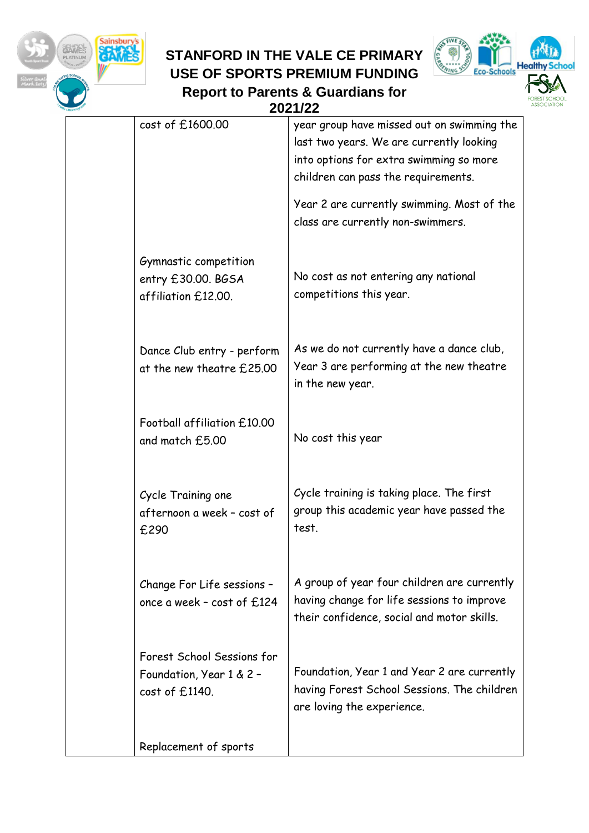

# **STANFORD IN THE VALE CE PRIMARY USE OF SPORTS PREMIUM FUNDING Report to Parents & Guardians for**



|                                                                          | 2021/22                                                                                                                                                                  |
|--------------------------------------------------------------------------|--------------------------------------------------------------------------------------------------------------------------------------------------------------------------|
| cost of £1600.00                                                         | year group have missed out on swimming the<br>last two years. We are currently looking<br>into options for extra swimming so more<br>children can pass the requirements. |
|                                                                          | Year 2 are currently swimming. Most of the<br>class are currently non-swimmers.                                                                                          |
| Gymnastic competition<br>entry £30.00. BGSA<br>affiliation £12.00.       | No cost as not entering any national<br>competitions this year.                                                                                                          |
| Dance Club entry - perform<br>at the new theatre £25.00                  | As we do not currently have a dance club,<br>Year 3 are performing at the new theatre<br>in the new year.                                                                |
| Football affiliation £10.00<br>and match £5.00                           | No cost this year                                                                                                                                                        |
| Cycle Training one<br>afternoon a week - cost of<br>£290                 | Cycle training is taking place. The first<br>group this academic year have passed the<br>test.                                                                           |
| Change For Life sessions -<br>once a week - cost of £124                 | A group of year four children are currently<br>having change for life sessions to improve<br>their confidence, social and motor skills.                                  |
| Forest School Sessions for<br>Foundation, Year 1 & 2 -<br>cost of £1140. | Foundation, Year 1 and Year 2 are currently<br>having Forest School Sessions. The children<br>are loving the experience.                                                 |
| Replacement of sports                                                    |                                                                                                                                                                          |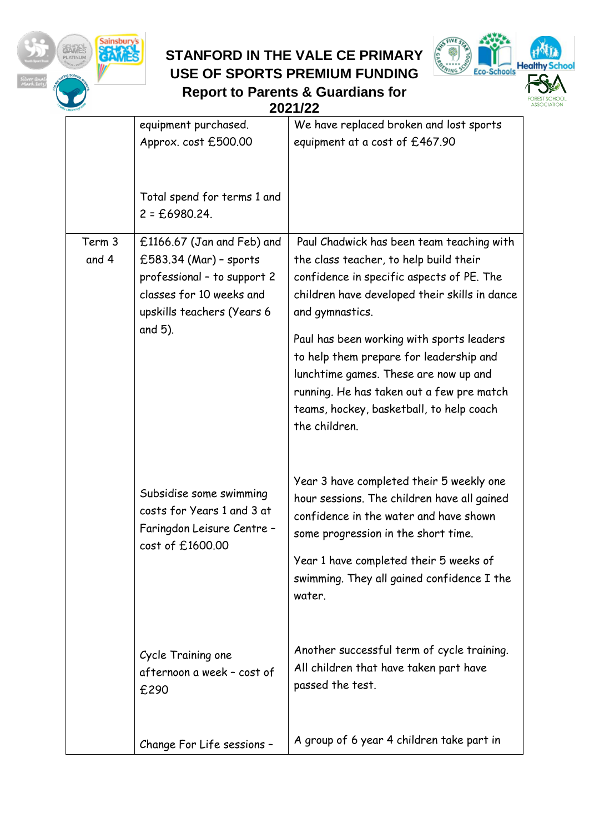

### **STANFORD IN THE VALE CE PRIMARY USE OF SPORTS PREMIUM FUNDING Report to Parents & Guardians for**



|  |                 |                                                                                                                                                          | 2021/22                                                                                                                                                                                                                                                                                                                                                                                                                                         |  |
|--|-----------------|----------------------------------------------------------------------------------------------------------------------------------------------------------|-------------------------------------------------------------------------------------------------------------------------------------------------------------------------------------------------------------------------------------------------------------------------------------------------------------------------------------------------------------------------------------------------------------------------------------------------|--|
|  |                 | equipment purchased.<br>Approx. cost £500.00                                                                                                             | We have replaced broken and lost sports<br>equipment at a cost of £467.90                                                                                                                                                                                                                                                                                                                                                                       |  |
|  |                 | Total spend for terms 1 and<br>$2 = £6980.24$ .                                                                                                          |                                                                                                                                                                                                                                                                                                                                                                                                                                                 |  |
|  | Term 3<br>and 4 | £1166.67 (Jan and Feb) and<br>£583.34 (Mar) - sports<br>professional - to support 2<br>classes for 10 weeks and<br>upskills teachers (Years 6<br>and 5). | Paul Chadwick has been team teaching with<br>the class teacher, to help build their<br>confidence in specific aspects of PE. The<br>children have developed their skills in dance<br>and gymnastics.<br>Paul has been working with sports leaders<br>to help them prepare for leadership and<br>lunchtime games. These are now up and<br>running. He has taken out a few pre match<br>teams, hockey, basketball, to help coach<br>the children. |  |
|  |                 | Subsidise some swimming<br>costs for Years 1 and 3 at<br>Faringdon Leisure Centre -<br>cost of £1600.00                                                  | Year 3 have completed their 5 weekly one<br>hour sessions. The children have all gained<br>confidence in the water and have shown<br>some progression in the short time.<br>Year 1 have completed their 5 weeks of<br>swimming. They all gained confidence I the<br>water.                                                                                                                                                                      |  |
|  |                 | Cycle Training one<br>afternoon a week - cost of<br>£290                                                                                                 | Another successful term of cycle training.<br>All children that have taken part have<br>passed the test.                                                                                                                                                                                                                                                                                                                                        |  |
|  |                 | Change For Life sessions -                                                                                                                               | A group of 6 year 4 children take part in                                                                                                                                                                                                                                                                                                                                                                                                       |  |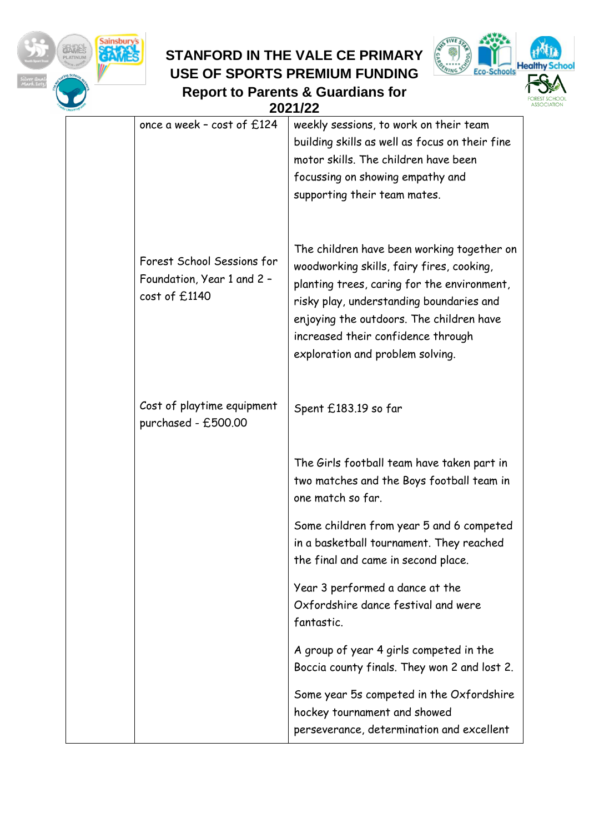

## **STANFORD IN THE VALE CE PRIMARY USE OF SPORTS PREMIUM FUNDING Report to Parents & Guardians for**



|                                                                           | 2021/22                                                                                                                                                                                                                                                                                                  |
|---------------------------------------------------------------------------|----------------------------------------------------------------------------------------------------------------------------------------------------------------------------------------------------------------------------------------------------------------------------------------------------------|
| once a week - cost of £124                                                | weekly sessions, to work on their team<br>building skills as well as focus on their fine<br>motor skills. The children have been<br>focussing on showing empathy and<br>supporting their team mates.                                                                                                     |
| Forest School Sessions for<br>Foundation, Year 1 and 2 -<br>cost of £1140 | The children have been working together on<br>woodworking skills, fairy fires, cooking,<br>planting trees, caring for the environment,<br>risky play, understanding boundaries and<br>enjoying the outdoors. The children have<br>increased their confidence through<br>exploration and problem solving. |
| Cost of playtime equipment<br>purchased - £500.00                         | Spent £183.19 so far                                                                                                                                                                                                                                                                                     |
|                                                                           | The Girls football team have taken part in<br>two matches and the Boys football team in<br>one match so far.                                                                                                                                                                                             |
|                                                                           | Some children from year 5 and 6 competed<br>in a basketball tournament. They reached<br>the final and came in second place.                                                                                                                                                                              |
|                                                                           | Year 3 performed a dance at the<br>Oxfordshire dance festival and were<br>fantastic.                                                                                                                                                                                                                     |
|                                                                           | A group of year 4 girls competed in the<br>Boccia county finals. They won 2 and lost 2.                                                                                                                                                                                                                  |
|                                                                           | Some year 5s competed in the Oxfordshire<br>hockey tournament and showed<br>perseverance, determination and excellent                                                                                                                                                                                    |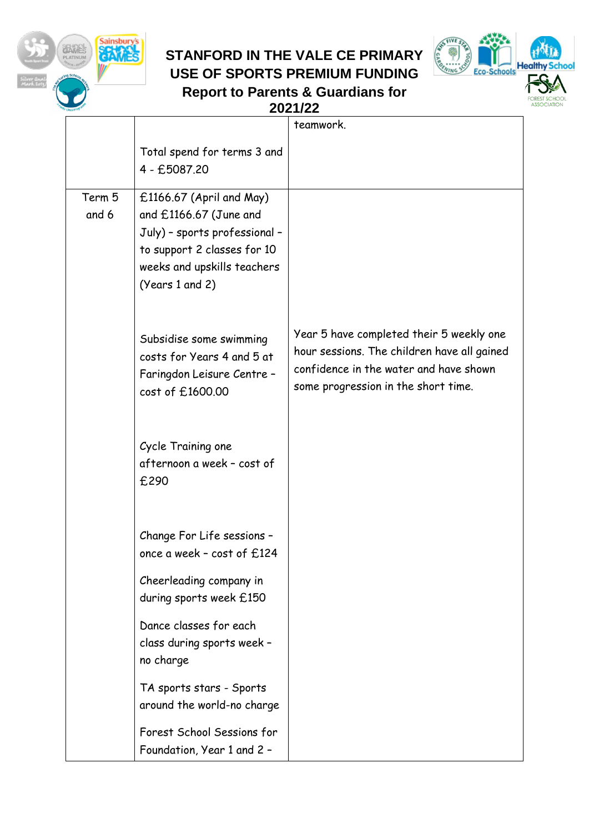

### **STANFORD IN THE VALE CE PRIMARY USE OF SPORTS PREMIUM FUNDING**

**Report to Parents & Guardians for** 



|  |                 | 2021/22                                                                                                                                                                |                                                                                                                                                                          |  |
|--|-----------------|------------------------------------------------------------------------------------------------------------------------------------------------------------------------|--------------------------------------------------------------------------------------------------------------------------------------------------------------------------|--|
|  |                 |                                                                                                                                                                        | teamwork.                                                                                                                                                                |  |
|  |                 | Total spend for terms 3 and<br>4 - £5087.20                                                                                                                            |                                                                                                                                                                          |  |
|  | Term 5<br>and 6 | $£1166.67$ (April and May)<br>and £1166.67 (June and<br>July) - sports professional -<br>to support 2 classes for 10<br>weeks and upskills teachers<br>(Years 1 and 2) |                                                                                                                                                                          |  |
|  |                 | Subsidise some swimming<br>costs for Years 4 and 5 at<br>Faringdon Leisure Centre -<br>cost of £1600.00                                                                | Year 5 have completed their 5 weekly one<br>hour sessions. The children have all gained<br>confidence in the water and have shown<br>some progression in the short time. |  |
|  |                 | Cycle Training one<br>afternoon a week - cost of<br>£290                                                                                                               |                                                                                                                                                                          |  |
|  |                 | Change For Life sessions -<br>once a week - cost of £124                                                                                                               |                                                                                                                                                                          |  |
|  |                 | Cheerleading company in<br>during sports week £150                                                                                                                     |                                                                                                                                                                          |  |
|  |                 | Dance classes for each<br>class during sports week -<br>no charge                                                                                                      |                                                                                                                                                                          |  |
|  |                 | TA sports stars - Sports<br>around the world-no charge                                                                                                                 |                                                                                                                                                                          |  |
|  |                 | Forest School Sessions for<br>Foundation, Year 1 and 2 -                                                                                                               |                                                                                                                                                                          |  |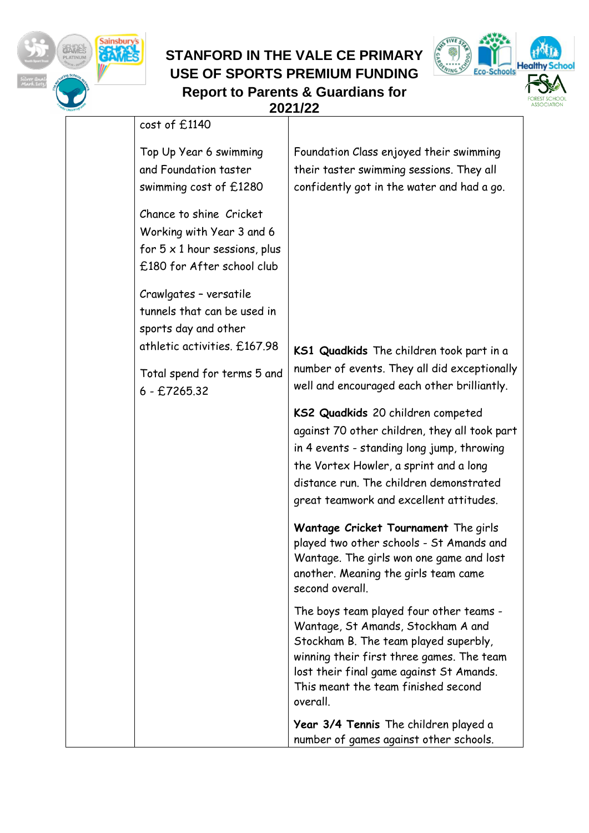

Sainsbury's<br>SCAMES

涂粉



|                                                                                                                            | 2021/22                                                                                                                                                                                                                                                            |
|----------------------------------------------------------------------------------------------------------------------------|--------------------------------------------------------------------------------------------------------------------------------------------------------------------------------------------------------------------------------------------------------------------|
| cost of £1140                                                                                                              |                                                                                                                                                                                                                                                                    |
| Top Up Year 6 swimming<br>and Foundation taster<br>swimming cost of £1280                                                  | Foundation Class enjoyed their swimming<br>their taster swimming sessions. They all<br>confidently got in the water and had a go.                                                                                                                                  |
| Chance to shine Cricket<br>Working with Year 3 and 6<br>for $5 \times 1$ hour sessions, plus<br>£180 for After school club |                                                                                                                                                                                                                                                                    |
| Crawlgates - versatile<br>tunnels that can be used in<br>sports day and other<br>athletic activities. £167.98              | KS1 Quadkids The children took part in a                                                                                                                                                                                                                           |
| Total spend for terms 5 and<br>$6 - £7265.32$                                                                              | number of events. They all did exceptionally<br>well and encouraged each other brilliantly.                                                                                                                                                                        |
|                                                                                                                            | KS2 Quadkids 20 children competed<br>against 70 other children, they all took part<br>in 4 events - standing long jump, throwing<br>the Vortex Howler, a sprint and a long<br>distance run. The children demonstrated<br>great teamwork and excellent attitudes.   |
|                                                                                                                            | Wantage Cricket Tournament The girls<br>played two other schools - St Amands and<br>Wantage. The girls won one game and lost<br>another. Meaning the girls team came<br>second overall.                                                                            |
|                                                                                                                            | The boys team played four other teams -<br>Wantage, St Amands, Stockham A and<br>Stockham B. The team played superbly,<br>winning their first three games. The team<br>lost their final game against St Amands.<br>This meant the team finished second<br>overall. |
|                                                                                                                            | Year 3/4 Tennis The children played a<br>number of games against other schools.                                                                                                                                                                                    |